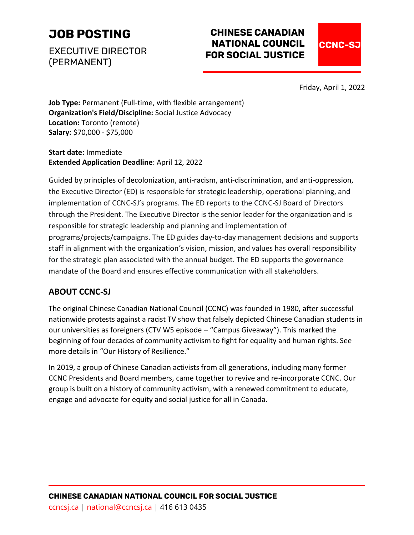# **[JOB POSTING](https://ccncsj.ca/opportunities/)**

EXECUTIVE DIRECTOR (PERMANENT)

# **CHINESE CANADIAN NATIONAL COUNCIL FOR SOCIAL JUSTICE**



Friday, April 1, 2022

**Job Type:** Permanent (Full-time, with flexible arrangement) **Organization's Field/Discipline:** Social Justice Advocacy **Location:** Toronto (remote) **Salary:** \$70,000 - \$75,000

**Start date:** Immediate **Extended Application Deadline**: April 12, 2022

Guided by principles of decolonization, anti-racism, anti-discrimination, and anti-oppression, the Executive Director (ED) is responsible for strategic leadership, operational planning, and implementation of CCNC-SJ's programs. The ED reports to the CCNC-SJ Board of Directors through the President. The Executive Director is the senior leader for the organization and is responsible for strategic leadership and planning and implementation of programs/projects/campaigns. The ED guides day-to-day management decisions and supports staff in alignment with the organization's vision, mission, and values has overall responsibility for the strategic plan associated with the annual budget. The ED supports the governance mandate of the Board and ensures effective communication with all stakeholders.

## **ABOUT CCNC-SJ**

The original Chinese Canadian National Council (CCNC) was founded in 1980, after successful nationwide protests against a racist TV show that falsely depicted Chinese Canadian students in our universities as foreigners (CTV W5 episode – "Campus Giveaway"). This marked the beginning of four decades of community activism to fight for equality and human rights. See more details in "Our History of Resilience."

In 2019, a group of Chinese Canadian activists from all generations, including many former CCNC Presidents and Board members, came together to revive and re-incorporate CCNC. Our group is built on a history of community activism, with a renewed commitment to educate, engage and advocate for equity and social justice for all in Canada.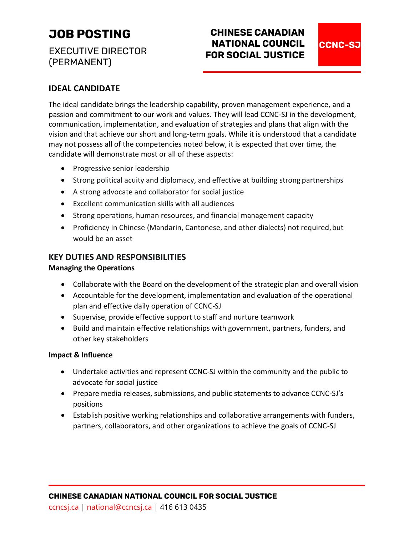# **[JOB POSTING](https://ccncsj.ca/opportunities/)**

EXECUTIVE DIRECTOR (PERMANENT)

# **CHINESE CANADIAN NATIONAL COUNCIL FOR SOCIAL JUSTICE**

**CCNC-SJ** 

### **IDEAL CANDIDATE**

The ideal candidate brings the leadership capability, proven management experience, and a passion and commitment to our work and values. They will lead CCNC-SJ in the development, communication, implementation, and evaluation of strategies and plans that align with the vision and that achieve our short and long-term goals. While it is understood that a candidate may not possess all of the competencies noted below, it is expected that over time, the candidate will demonstrate most or all of these aspects:

- Progressive senior leadership
- Strong political acuity and diplomacy, and effective at building strong partnerships
- A strong advocate and collaborator for social justice
- Excellent communication skills with all audiences
- Strong operations, human resources, and financial management capacity
- Proficiency in Chinese (Mandarin, Cantonese, and other dialects) not required, but would be an asset

### **KEY DUTIES AND RESPONSIBILITIES**

#### **Managing the Operations**

- Collaborate with the Board on the development of the strategic plan and overall vision
- Accountable for the development, implementation and evaluation of the operational plan and effective daily operation of CCNC-SJ
- Supervise, provide effective support to staff and nurture teamwork
- Build and maintain effective relationships with government, partners, funders, and other key stakeholders

#### **Impact & Influence**

- Undertake activities and represent CCNC-SJ within the community and the public to advocate for social justice
- Prepare media releases, submissions, and public statements to advance CCNC-SJ's positions
- Establish positive working relationships and collaborative arrangements with funders, partners, collaborators, and other organizations to achieve the goals of CCNC-SJ